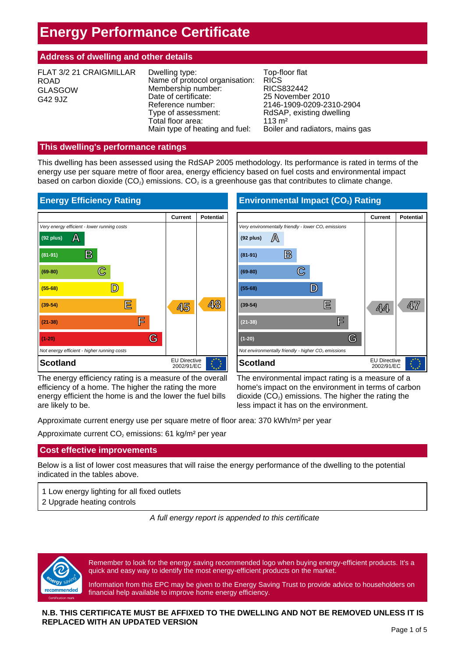# **Energy Performance Certificate**

# **Address of dwelling and other details**

| FLAT 3/2 21 CRAIGMILLAR<br><b>ROAD</b><br><b>GLASGOW</b><br>G42 9JZ | Dwelling type:<br>Name of protocol organisation:<br>Membership number:<br>Date of certificate:<br>Reference number:<br>Type of assessment:<br>Total floor area:<br>Main type of heating and fuel: | Top-floor flat<br><b>RICS</b><br>RICS832442<br>25 November 2010<br>2146-1909-0209-2310-2904<br>RdSAP, existing dwelling<br>$113 \text{ m}^2$<br>Boiler and radiators, mains gas |
|---------------------------------------------------------------------|---------------------------------------------------------------------------------------------------------------------------------------------------------------------------------------------------|---------------------------------------------------------------------------------------------------------------------------------------------------------------------------------|
|---------------------------------------------------------------------|---------------------------------------------------------------------------------------------------------------------------------------------------------------------------------------------------|---------------------------------------------------------------------------------------------------------------------------------------------------------------------------------|

# **This dwelling's performance ratings**

This dwelling has been assessed using the RdSAP 2005 methodology. Its performance is rated in terms of the energy use per square metre of floor area, energy efficiency based on fuel costs and environmental impact based on carbon dioxide  $(CO_2)$  emissions.  $CO_2$  is a greenhouse gas that contributes to climate change.



The energy efficiency rating is a measure of the overall efficiency of a home. The higher the rating the more energy efficient the home is and the lower the fuel bills are likely to be.

The environmental impact rating is a measure of a home's impact on the environment in terms of carbon dioxide  $(CO<sub>2</sub>)$  emissions. The higher the rating the less impact it has on the environment.

**Scotland** EU Directive **EU Directive** 

**(39-54) E 44 47**

**Environmental Impact (CO<sub>2</sub>) Rating** 

*Very environmentally friendly - lower CO<sub>2</sub> emissions* 

 $(92 \text{ plus}) \quad \boxed{\triangle}$ 

**(81-91) B**

**(69-80) C**

**(55-68) D**

**(21-38) F**

**(1-20) G** *Not environmentally friendly - higher CO<sub>2</sub> emissions* 

Approximate current energy use per square metre of floor area: 370 kWh/m² per year

Approximate current  $CO<sub>2</sub>$  emissions: 61 kg/m<sup>2</sup> per year

# **Cost effective improvements**

Below is a list of lower cost measures that will raise the energy performance of the dwelling to the potential indicated in the tables above.

- 1 Low energy lighting for all fixed outlets
- 2 Upgrade heating controls

*A full energy report is appended to this certificate*



Remember to look for the energy saving recommended logo when buying energy-efficient products. It's a quick and easy way to identify the most energy-efficient products on the market.

Information from this EPC may be given to the Energy Saving Trust to provide advice to householders on financial help available to improve home energy efficiency.

## **N.B. THIS CERTIFICATE MUST BE AFFIXED TO THE DWELLING AND NOT BE REMOVED UNLESS IT IS REPLACED WITH AN UPDATED VERSION**

**Current Potential**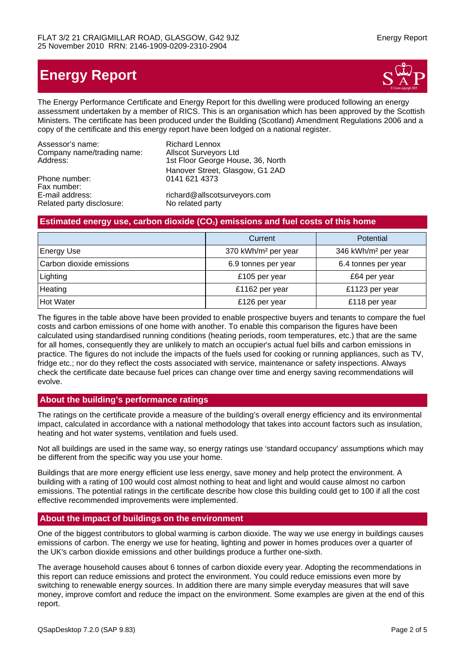Related party disclosure: No related party

# **Energy Report**



The Energy Performance Certificate and Energy Report for this dwelling were produced following an energy assessment undertaken by a member of RICS. This is an organisation which has been approved by the Scottish Ministers. The certificate has been produced under the Building (Scotland) Amendment Regulations 2006 and a copy of the certificate and this energy report have been lodged on a national register.

| Assessor's name:           | <b>Richard Lennox</b>             |
|----------------------------|-----------------------------------|
| Company name/trading name: | <b>Allscot Surveyors Ltd</b>      |
| Address:                   | 1st Floor George House, 36, North |
|                            | Hanover Street, Glasgow, G1 2AD   |
| Phone number:              | 0141 621 4373                     |
| Fax number:                |                                   |
| E-mail address:            | richard@allscotsurveyors.com      |

## **Estimated energy use, carbon dioxide (CO<sub>2</sub>) emissions and fuel costs of this home**

|                          | Current                         | Potential                       |
|--------------------------|---------------------------------|---------------------------------|
| <b>Energy Use</b>        | 370 kWh/m <sup>2</sup> per year | 346 kWh/m <sup>2</sup> per year |
| Carbon dioxide emissions | 6.9 tonnes per year             | 6.4 tonnes per year             |
| Lighting                 | £105 per year                   | £64 per year                    |
| Heating                  | £1162 per year                  | £1123 per year                  |
| <b>Hot Water</b>         | £126 per year                   | £118 per year                   |

The figures in the table above have been provided to enable prospective buyers and tenants to compare the fuel costs and carbon emissions of one home with another. To enable this comparison the figures have been calculated using standardised running conditions (heating periods, room temperatures, etc.) that are the same for all homes, consequently they are unlikely to match an occupier's actual fuel bills and carbon emissions in practice. The figures do not include the impacts of the fuels used for cooking or running appliances, such as TV, fridge etc.; nor do they reflect the costs associated with service, maintenance or safety inspections. Always check the certificate date because fuel prices can change over time and energy saving recommendations will evolve.

## **About the building's performance ratings**

The ratings on the certificate provide a measure of the building's overall energy efficiency and its environmental impact, calculated in accordance with a national methodology that takes into account factors such as insulation, heating and hot water systems, ventilation and fuels used.

Not all buildings are used in the same way, so energy ratings use 'standard occupancy' assumptions which may be different from the specific way you use your home.

Buildings that are more energy efficient use less energy, save money and help protect the environment. A building with a rating of 100 would cost almost nothing to heat and light and would cause almost no carbon emissions. The potential ratings in the certificate describe how close this building could get to 100 if all the cost effective recommended improvements were implemented.

## **About the impact of buildings on the environment**

One of the biggest contributors to global warming is carbon dioxide. The way we use energy in buildings causes emissions of carbon. The energy we use for heating, lighting and power in homes produces over a quarter of the UK's carbon dioxide emissions and other buildings produce a further one-sixth.

The average household causes about 6 tonnes of carbon dioxide every year. Adopting the recommendations in this report can reduce emissions and protect the environment. You could reduce emissions even more by switching to renewable energy sources. In addition there are many simple everyday measures that will save money, improve comfort and reduce the impact on the environment. Some examples are given at the end of this report.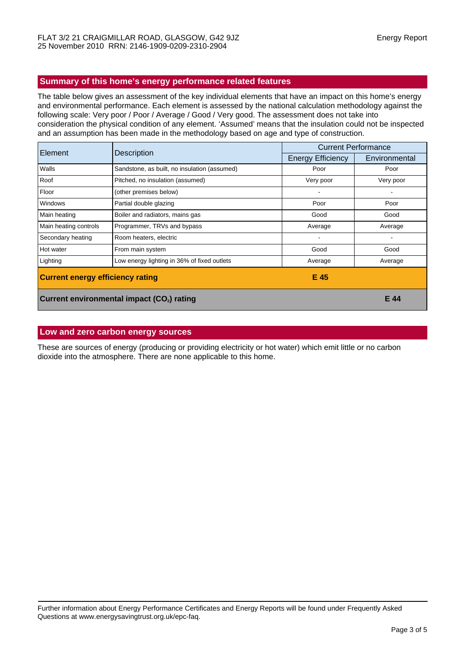## **Summary of this home's energy performance related features**

The table below gives an assessment of the key individual elements that have an impact on this home's energy and environmental performance. Each element is assessed by the national calculation methodology against the following scale: Very poor / Poor / Average / Good / Very good. The assessment does not take into consideration the physical condition of any element. 'Assumed' means that the insulation could not be inspected and an assumption has been made in the methodology based on age and type of construction.

| Element                                 | <b>Description</b>                                     | <b>Current Performance</b> |               |
|-----------------------------------------|--------------------------------------------------------|----------------------------|---------------|
|                                         |                                                        | <b>Energy Efficiency</b>   | Environmental |
| Walls                                   | Sandstone, as built, no insulation (assumed)           | Poor                       | Poor          |
| Roof                                    | Pitched, no insulation (assumed)                       | Very poor                  | Very poor     |
| Floor                                   | (other premises below)                                 |                            |               |
| <b>Windows</b>                          | Partial double glazing                                 | Poor                       | Poor          |
| Main heating                            | Boiler and radiators, mains gas                        | Good                       | Good          |
| Main heating controls                   | Programmer, TRVs and bypass                            | Average                    | Average       |
| Secondary heating                       | Room heaters, electric                                 | ۰                          |               |
| Hot water                               | From main system                                       | Good                       | Good          |
| Lighting                                | Low energy lighting in 36% of fixed outlets            | Average                    | Average       |
| <b>Current energy efficiency rating</b> |                                                        | E 45                       |               |
|                                         | Current environmental impact (CO <sub>2</sub> ) rating |                            | E 44          |

## **Low and zero carbon energy sources**

These are sources of energy (producing or providing electricity or hot water) which emit little or no carbon dioxide into the atmosphere. There are none applicable to this home.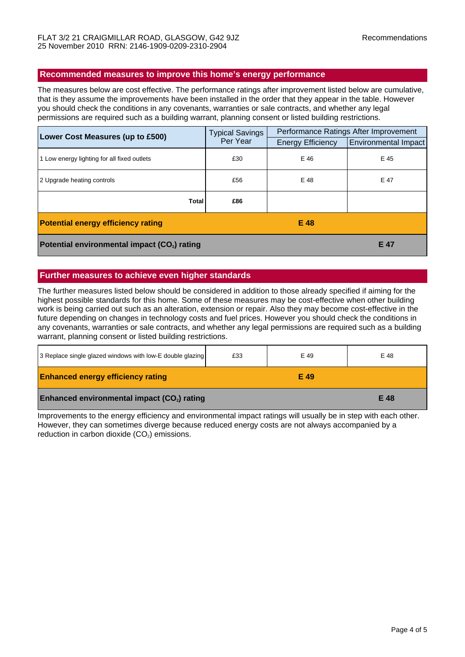#### **Recommended measures to improve this home's energy performance**

The measures below are cost effective. The performance ratings after improvement listed below are cumulative, that is they assume the improvements have been installed in the order that they appear in the table. However you should check the conditions in any covenants, warranties or sale contracts, and whether any legal permissions are required such as a building warrant, planning consent or listed building restrictions.

| Lower Cost Measures (up to £500)                         | <b>Typical Savings</b><br>Per Year | Performance Ratings After Improvement |                             |
|----------------------------------------------------------|------------------------------------|---------------------------------------|-----------------------------|
|                                                          |                                    | <b>Energy Efficiency</b>              | <b>Environmental Impact</b> |
| 1 Low energy lighting for all fixed outlets              | £30                                | E 46                                  | E 45                        |
| 2 Upgrade heating controls                               | £56                                | E 48                                  | E 47                        |
| <b>Total</b>                                             | £86                                |                                       |                             |
| <b>Potential energy efficiency rating</b>                |                                    | E 48                                  |                             |
| Potential environmental impact (CO <sub>2</sub> ) rating |                                    |                                       | E 47                        |

# **Further measures to achieve even higher standards**

The further measures listed below should be considered in addition to those already specified if aiming for the highest possible standards for this home. Some of these measures may be cost-effective when other building work is being carried out such as an alteration, extension or repair. Also they may become cost-effective in the future depending on changes in technology costs and fuel prices. However you should check the conditions in any covenants, warranties or sale contracts, and whether any legal permissions are required such as a building warrant, planning consent or listed building restrictions.

| 3 Replace single glazed windows with low-E double glazing | £33 | E 49 | E 48 |
|-----------------------------------------------------------|-----|------|------|
| <b>Enhanced energy efficiency rating</b>                  |     | E 49 |      |
| Enhanced environmental impact (CO <sub>2</sub> ) rating   |     |      | E 48 |

Improvements to the energy efficiency and environmental impact ratings will usually be in step with each other. However, they can sometimes diverge because reduced energy costs are not always accompanied by a reduction in carbon dioxide  $(CO<sub>2</sub>)$  emissions.